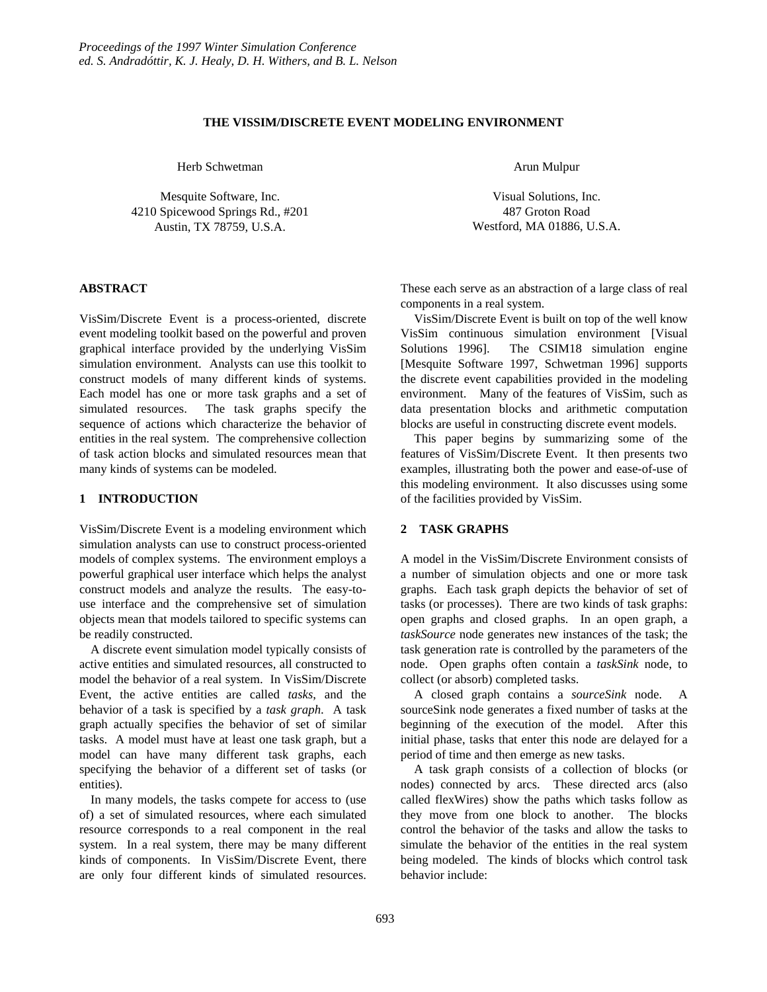## **THE VISSIM/DISCRETE EVENT MODELING ENVIRONMENT**

Herb Schwetman

Mesquite Software, Inc. 4210 Spicewood Springs Rd., #201 Austin, TX 78759, U.S.A.

# **ABSTRACT**

VisSim/Discrete Event is a process-oriented, discrete event modeling toolkit based on the powerful and proven graphical interface provided by the underlying VisSim simulation environment. Analysts can use this toolkit to construct models of many different kinds of systems. Each model has one or more task graphs and a set of simulated resources. The task graphs specify the sequence of actions which characterize the behavior of entities in the real system. The comprehensive collection of task action blocks and simulated resources mean that many kinds of systems can be modeled.

#### **1 INTRODUCTION**

VisSim/Discrete Event is a modeling environment which simulation analysts can use to construct process-oriented models of complex systems. The environment employs a powerful graphical user interface which helps the analyst construct models and analyze the results. The easy-touse interface and the comprehensive set of simulation objects mean that models tailored to specific systems can be readily constructed.

A discrete event simulation model typically consists of active entities and simulated resources, all constructed to model the behavior of a real system. In VisSim/Discrete Event, the active entities are called *tasks*, and the behavior of a task is specified by a *task graph*. A task graph actually specifies the behavior of set of similar tasks. A model must have at least one task graph, but a model can have many different task graphs, each specifying the behavior of a different set of tasks (or entities).

In many models, the tasks compete for access to (use of) a set of simulated resources, where each simulated resource corresponds to a real component in the real system. In a real system, there may be many different kinds of components. In VisSim/Discrete Event, there are only four different kinds of simulated resources. Arun Mulpur

Visual Solutions, Inc. 487 Groton Road Westford, MA 01886, U.S.A.

These each serve as an abstraction of a large class of real components in a real system.

VisSim/Discrete Event is built on top of the well know VisSim continuous simulation environment [Visual Solutions 1996]. The CSIM18 simulation engine [Mesquite Software 1997, Schwetman 1996] supports the discrete event capabilities provided in the modeling environment. Many of the features of VisSim, such as data presentation blocks and arithmetic computation blocks are useful in constructing discrete event models.

This paper begins by summarizing some of the features of VisSim/Discrete Event. It then presents two examples, illustrating both the power and ease-of-use of this modeling environment. It also discusses using some of the facilities provided by VisSim.

# **2 TASK GRAPHS**

A model in the VisSim/Discrete Environment consists of a number of simulation objects and one or more task graphs. Each task graph depicts the behavior of set of tasks (or processes). There are two kinds of task graphs: open graphs and closed graphs. In an open graph, a *taskSource* node generates new instances of the task; the task generation rate is controlled by the parameters of the node. Open graphs often contain a *taskSink* node, to collect (or absorb) completed tasks.

A closed graph contains a *sourceSink* node. A sourceSink node generates a fixed number of tasks at the beginning of the execution of the model. After this initial phase, tasks that enter this node are delayed for a period of time and then emerge as new tasks.

A task graph consists of a collection of blocks (or nodes) connected by arcs. These directed arcs (also called flexWires) show the paths which tasks follow as they move from one block to another. The blocks control the behavior of the tasks and allow the tasks to simulate the behavior of the entities in the real system being modeled. The kinds of blocks which control task behavior include: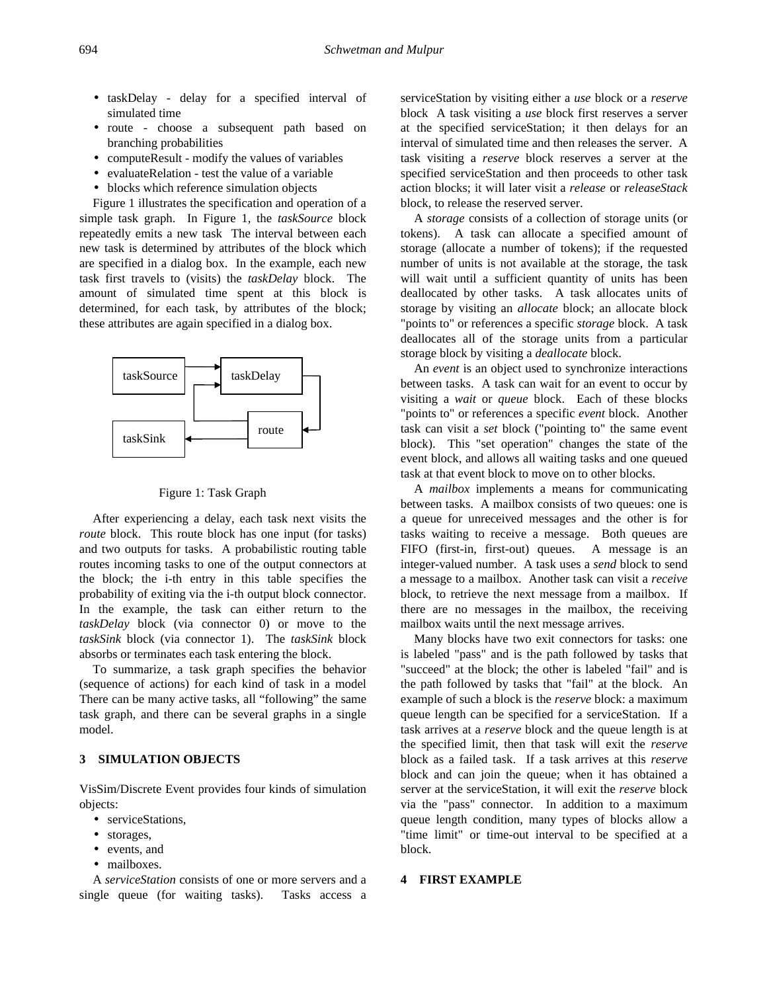- taskDelay delay for a specified interval of simulated time
- route choose a subsequent path based on branching probabilities
- computeResult modify the values of variables
- evaluateRelation test the value of a variable
- blocks which reference simulation objects

Figure 1 illustrates the specification and operation of a simple task graph. In Figure 1, the *taskSource* block repeatedly emits a new task The interval between each new task is determined by attributes of the block which are specified in a dialog box. In the example, each new task first travels to (visits) the *taskDelay* block. The amount of simulated time spent at this block is determined, for each task, by attributes of the block; these attributes are again specified in a dialog box.





After experiencing a delay, each task next visits the *route* block. This route block has one input (for tasks) and two outputs for tasks. A probabilistic routing table routes incoming tasks to one of the output connectors at the block; the i-th entry in this table specifies the probability of exiting via the i-th output block connector. In the example, the task can either return to the *taskDelay* block (via connector 0) or move to the *taskSink* block (via connector 1). The *taskSink* block absorbs or terminates each task entering the block.

To summarize, a task graph specifies the behavior (sequence of actions) for each kind of task in a model There can be many active tasks, all "following" the same task graph, and there can be several graphs in a single model.

#### **3 SIMULATION OBJECTS**

VisSim/Discrete Event provides four kinds of simulation objects:

- serviceStations,
- storages,
- events, and
- mailboxes.

A *serviceStation* consists of one or more servers and a single queue (for waiting tasks). Tasks access a

serviceStation by visiting either a *use* block or a *reserve* block A task visiting a *use* block first reserves a server at the specified serviceStation; it then delays for an interval of simulated time and then releases the server. A task visiting a *reserve* block reserves a server at the specified serviceStation and then proceeds to other task action blocks; it will later visit a *release* or *releaseStack* block, to release the reserved server.

A *storage* consists of a collection of storage units (or tokens). A task can allocate a specified amount of storage (allocate a number of tokens); if the requested number of units is not available at the storage, the task will wait until a sufficient quantity of units has been deallocated by other tasks. A task allocates units of storage by visiting an *allocate* block; an allocate block "points to" or references a specific *storage* block. A task deallocates all of the storage units from a particular storage block by visiting a *deallocate* block.

An *event* is an object used to synchronize interactions between tasks. A task can wait for an event to occur by visiting a *wait* or *queue* block. Each of these blocks "points to" or references a specific *event* block. Another task can visit a *set* block ("pointing to" the same event block). This "set operation" changes the state of the event block, and allows all waiting tasks and one queued task at that event block to move on to other blocks.

A *mailbox* implements a means for communicating between tasks. A mailbox consists of two queues: one is a queue for unreceived messages and the other is for tasks waiting to receive a message. Both queues are FIFO (first-in, first-out) queues. A message is an integer-valued number. A task uses a *send* block to send a message to a mailbox. Another task can visit a *receive* block, to retrieve the next message from a mailbox. If there are no messages in the mailbox, the receiving mailbox waits until the next message arrives.

Many blocks have two exit connectors for tasks: one is labeled "pass" and is the path followed by tasks that "succeed" at the block; the other is labeled "fail" and is the path followed by tasks that "fail" at the block. An example of such a block is the *reserve* block: a maximum queue length can be specified for a serviceStation. If a task arrives at a *reserve* block and the queue length is at the specified limit, then that task will exit the *reserve* block as a failed task. If a task arrives at this *reserve* block and can join the queue; when it has obtained a server at the serviceStation, it will exit the *reserve* block via the "pass" connector. In addition to a maximum queue length condition, many types of blocks allow a "time limit" or time-out interval to be specified at a block.

### **4 FIRST EXAMPLE**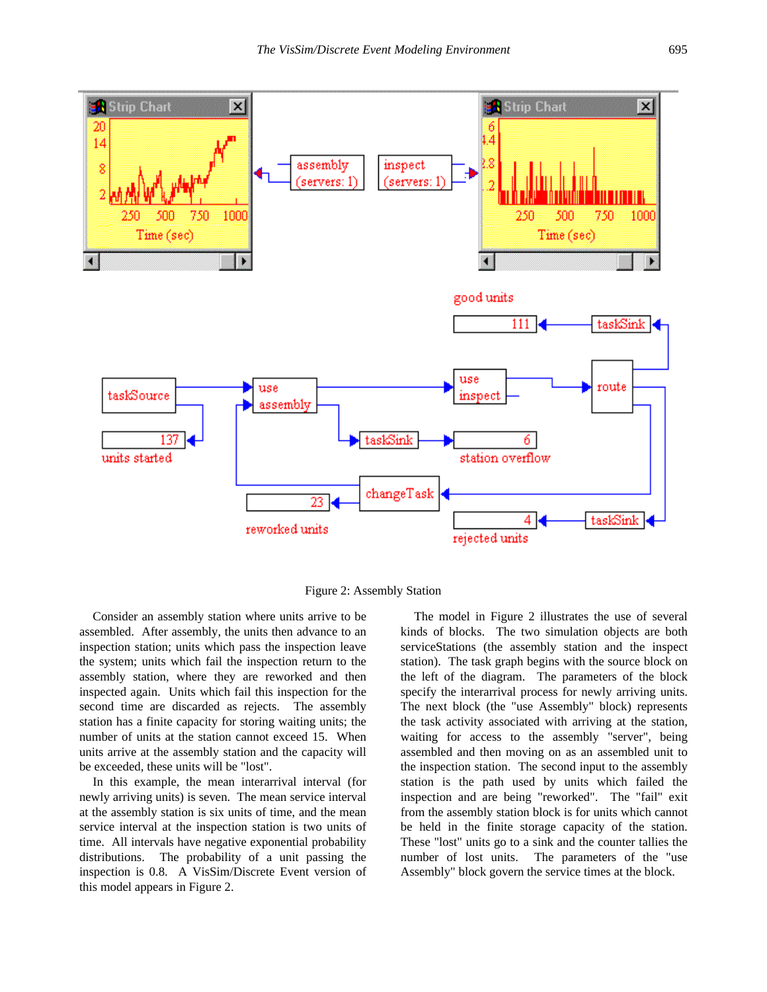



Consider an assembly station where units arrive to be assembled. After assembly, the units then advance to an inspection station; units which pass the inspection leave the system; units which fail the inspection return to the assembly station, where they are reworked and then inspected again. Units which fail this inspection for the second time are discarded as rejects. The assembly station has a finite capacity for storing waiting units; the number of units at the station cannot exceed 15. When units arrive at the assembly station and the capacity will be exceeded, these units will be "lost".

In this example, the mean interarrival interval (for newly arriving units) is seven. The mean service interval at the assembly station is six units of time, and the mean service interval at the inspection station is two units of time. All intervals have negative exponential probability distributions. The probability of a unit passing the inspection is 0.8. A VisSim/Discrete Event version of this model appears in Figure 2.

The model in Figure 2 illustrates the use of several kinds of blocks. The two simulation objects are both serviceStations (the assembly station and the inspect station). The task graph begins with the source block on the left of the diagram. The parameters of the block specify the interarrival process for newly arriving units. The next block (the "use Assembly" block) represents the task activity associated with arriving at the station, waiting for access to the assembly "server", being assembled and then moving on as an assembled unit to the inspection station. The second input to the assembly station is the path used by units which failed the inspection and are being "reworked". The "fail" exit from the assembly station block is for units which cannot be held in the finite storage capacity of the station. These "lost" units go to a sink and the counter tallies the number of lost units. The parameters of the "use Assembly" block govern the service times at the block.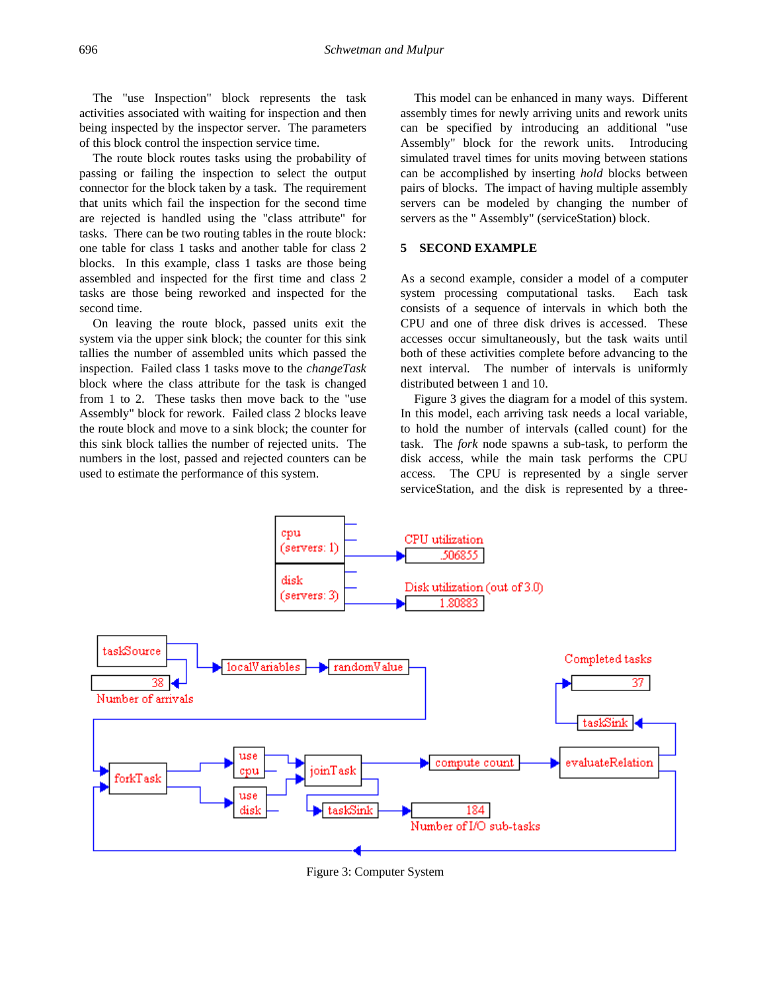The "use Inspection" block represents the task activities associated with waiting for inspection and then being inspected by the inspector server. The parameters of this block control the inspection service time.

The route block routes tasks using the probability of passing or failing the inspection to select the output connector for the block taken by a task. The requirement that units which fail the inspection for the second time are rejected is handled using the "class attribute" for tasks. There can be two routing tables in the route block: one table for class 1 tasks and another table for class 2 blocks. In this example, class 1 tasks are those being assembled and inspected for the first time and class 2 tasks are those being reworked and inspected for the second time.

On leaving the route block, passed units exit the system via the upper sink block; the counter for this sink tallies the number of assembled units which passed the inspection. Failed class 1 tasks move to the *changeTask* block where the class attribute for the task is changed from 1 to 2. These tasks then move back to the "use Assembly" block for rework. Failed class 2 blocks leave the route block and move to a sink block; the counter for this sink block tallies the number of rejected units. The numbers in the lost, passed and rejected counters can be used to estimate the performance of this system.

This model can be enhanced in many ways. Different assembly times for newly arriving units and rework units can be specified by introducing an additional "use Assembly" block for the rework units. Introducing simulated travel times for units moving between stations can be accomplished by inserting *hold* blocks between pairs of blocks. The impact of having multiple assembly servers can be modeled by changing the number of servers as the " Assembly" (serviceStation) block.

# **5 SECOND EXAMPLE**

As a second example, consider a model of a computer system processing computational tasks. Each task consists of a sequence of intervals in which both the CPU and one of three disk drives is accessed. These accesses occur simultaneously, but the task waits until both of these activities complete before advancing to the next interval. The number of intervals is uniformly distributed between 1 and 10.

Figure 3 gives the diagram for a model of this system. In this model, each arriving task needs a local variable, to hold the number of intervals (called count) for the task. The *fork* node spawns a sub-task, to perform the disk access, while the main task performs the CPU access. The CPU is represented by a single server serviceStation, and the disk is represented by a three-



Figure 3: Computer System